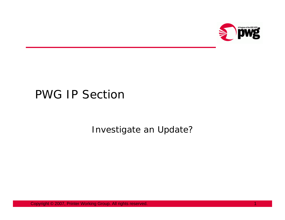

# PWG IP Section

Investigate an Update?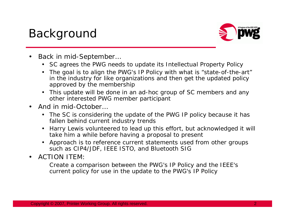# Background



- • Back in mid-September…
	- SC agrees the PWG needs to update its Intellectual Property Policy
	- The goal is to align the PWG's IP Policy with what is "state-of-the-art" in the industry for like organizations and then get the updated policy approved by the membership
	- This update will be done in an ad-hoc group of SC members and any other interested PWG member participant
- • And in mid-October…
	- The SC is considering the update of the PWG IP policy because it has fallen behind current industry trends
	- Harry Lewis volunteered to lead up this effort, but acknowledged it will take him a while before having a proposal to present
	- Approach is to reference current statements used from other groups such as CIP4/JDF, IEEE ISTO, and Bluetooth SIG
- •ACTION ITEM:

Create a comparison between the PWG's IP Policy and the IEEE's current policy for use in the update to the PWG's IP Policy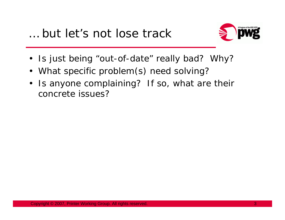

- Is just being "out-of-date" really bad? Why?
- What specific problem(s) need solving?
- $\bullet$  Is anyone complaining? If so, what are their concrete issues?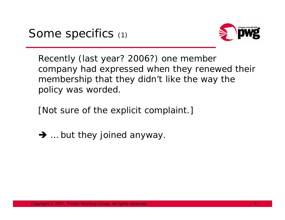

Recently (last year? 2006?) one member company had expressed when they renewed their membership that they didn't like the way the policy was worded.

[Not sure of the explicit complaint.]

 $\rightarrow$  ... but they joined anyway.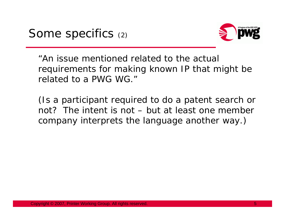

"An issue mentioned related to the actual requirements for making known IP that might be related to a PWG WG."

(Is a participant required to do a patent search or not? The intent is not – but at least one member company interprets the language another way.)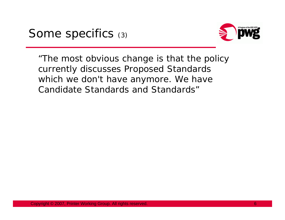

"The most obvious change is that the policy currently discusses Proposed Standards which we don't have anymore. We have Candidate Standards and Standards"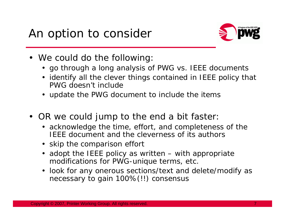

- We *could* do the following:
	- go through a long analysis of PWG vs. IEEE documents
	- identify all the clever things contained in IEEE policy that PWG doesn't include
	- update the PWG document to include the items
- OR we could jump to the end a bit faster:
	- acknowledge the time, effort, and completeness of the IEEE document and the cleverness of its authors
	- skip the comparison effort
	- adopt the IEEE policy as written with appropriate modifications for PWG-unique terms, etc.
	- look for any onerous sections/text and delete/modify as necessary to gain 100%(!!) consensus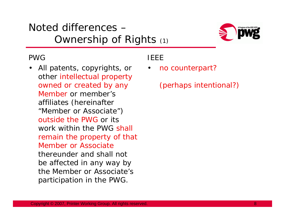## Noted differences –Ownership of Rights (1)



### PWG

• All patents, copyrights, or other intellectual property owned or created by any Member or member's affiliates (hereinafter "Member or Associate") outside the PWG or its work within the PWG shall remain the property of that Member or Associatethereunder and shall not be affected in any way by the Member or Associate's participation in the PWG.

## IEEE

•*no counterpart?*

*(perhaps intentional?)*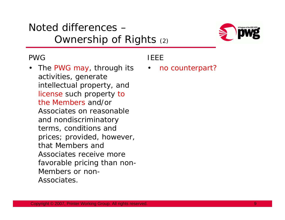## Noted differences –Ownership of Rights (2)



### PWG

•The PWG may, through its activities, generate intellectual property, and license such property to the Members and/or Associates on reasonable and nondiscriminatory terms, conditions and prices; provided, however, that Members and Associates receive more favorable pricing than non-Members or non-Associates.

## IEEE

•*no counterpart?*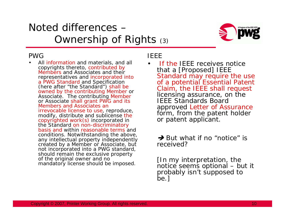## Noted differences –Ownership of Rights (3)



#### PWG

• All information and materials, and all copyrights thereto, contributed by Members and Associates and their representatives and incorporated into a PWG Standard and Specification (here after "the Standard") shall be owned by the contributing Member or Associate. The contributing Member or Associate shall grant PWG and its Members and Associates an irrevocable license to use, reproduce, modify, distribute and sublicense the copyrighted work $(s)$  incorporated in the Standard on non-discriminatory basis and within reasonable terms and conditions. Notwithstanding the above, any intellectual property independently created by a Member or Associate, but not incorporated into a PWG standard, should remain the exclusive property of the original owner and no mandatory license should be imposed.

#### IEEE

•

 If the IEEE receives notice that a [Proposed] IEEE Standard may require the use of a potential Essential Patent Claim, the IEEE shall request licensing assurance, on the IEEE Standards Board approved Letter of Assurance form, from the patent holder or patent applicant.

#### **→ But what if no "notice" is** *received?*

*[In my interpretation, the notice seems optional – but it probably isn't supposed to be.]*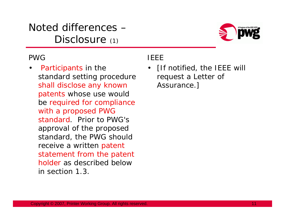Noted differences –Disclosure (1)



### PWG

• Participants in the standard setting procedure shall disclose any known patents whose use would be required for compliance with a proposed PWG standard. Prior to PWG's approval of the proposed standard, the PWG should receive a written patent statement from the patent holder as described below in section 1.3.

### IEEE

• [If notified, the IEEE will request a Letter of Assurance.]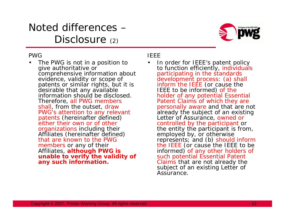## Noted differences –Disclosure (2)



#### PWG

• The PWG is not in a position to give authoritative or comprehensive information about evidence, validity or scope of patents or similar rights, but it is desirable that any available information should be disclosed. Therefore, all PWG members shall, from the outset, draw PWG's attention to any relevant patents (hereinafter defined) either their own or of other organizations including their Affiliates (hereinafter defined) that are known to the PWG members or any of their Affiliates, **although PWG is unable to verify the validity of any such information.**

#### IEEE

•

 In order for IEEE's patent policy to function efficiently, individuals<br>participating in the standards development process: (a) shall inform the IEEE (or cause the IEEE to be informed) of the holder of any potential Essential Patent Claims of which they are personally aware and that are not already the subject of an existing Letter of Assurance, owned or controlled by the participant or the entity the participant is from,<br>employed by, or otherwise represents; and (b) should inform the IEEE (or cause the IEEE to be informed) of any other holders of such potential Essential Patent Claims that are not already the subject of an existing Letter of Assurance.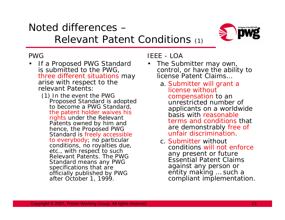## Noted differences –Relevant Patent Conditions (1)



### PWG

- If a Proposed PWG Standard is submitted to the PWG, three different situations may arise with respect to the relevant Patents:
	- (1) In the event the PWG Proposed Standard is adopted to become a PWG Standard, the patent holder waives his rights under the Relevant Patents owned by him and hence, the Proposed PWG Standard is freely accessible to everybody; no particular conditions, no royalties due, etc., with respect to such Relevant Patents. The PWG Standard means any PWG specifications that are officially published by PWG after October 1, 1999.

### IEEE - LOA

- • The Submitter may own, control, or have the ability to license Patent Claims…
	- a. Submitter will grant a license without compensation to an unrestricted number of applicants on a worldwide basis with reasonable terms and conditions that are demonstrably free of unfair discrimination.
	- c. Submitter without conditions will not enforceany present or future Essential Patent Claims against any person or entity making ... such a compliant implementation.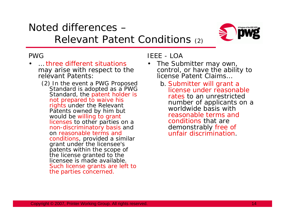## Noted differences –Relevant Patent Conditions (2)



#### PWG

- $\bullet$  … three different situations may arise with respect to the relevant Patents:
	- (2) In the event a PWG Proposed Standard is adopted as a PWG Standard, the patent holder is not prepared to waive his rights under the Relevant Patents owned by him but would be willing to grant licenses to other parties on a non-discriminatory basis and on reasonable terms and conditions, provided a similar grant under the licensee's patents within the scope of the license granted to the licensee is made available. Such license grants are left to the parties concerned.

### IEEE - LOA

- • The Submitter may own, control, or have the ability to license Patent Claims…
	- b. Submitter will grant a license under reasonable rates to an unrestricted number of applicants on a worldwide basis with reasonable terms and conditions that are demonstrably free of unfair discrimination.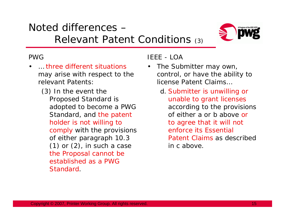#### relevant Patents: (3) In the event the

Proposed Standard is adopted to become a PWG Standard, and the patent holder is not willing to comply with the provisions of either paragraph 10.3  $(1)$  or  $(2)$ , in such a case the Proposal cannot be established as a PWG Standard.

three different situations

may arise with respect to the

### IEEE - LOA

- • The Submitter may own, control, or have the ability to license Patent Claims…
	- d. Submitter is unwilling or unable to grant licenses according to the provisions of either a or b above or to agree that it will not enforce its Essential Patent Claims as described in c above.



## Noted differences –Relevant Patent Conditions (3)

## PWG

…

•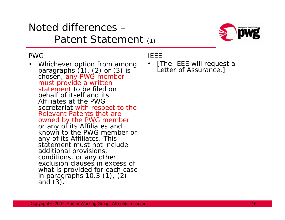## Noted differences –Patent Statement (1)



#### PWG

•Whichever option from among paragraphs  $(1)$ ,  $(2)$  or  $(3)$  is chosen, any PWG member must provide a written statement to be filed on behalf of itself and its Affiliates at the PWG secretariat with respect to the Relevant Patents that are owned by the PWG member or any of its Affiliates and known to the PWG member or any of its Affiliates. This statement must not include additional provisions, conditions, or any other exclusion clauses in excess of what is provided for each case<br>in paragraphs 10.3 (1), (2)<br>and (3).

### IEEE

•[The IEEE will request a Letter of Assurance.]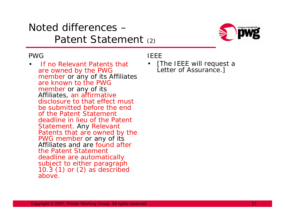## Noted differences –Patent Statement (2)



#### PWG

• If no Relevant Patents that are owned by the PWG member or any of its Affiliates are known to the PWG member or any of its Affiliates, an affirmative disclosure to that effect must be submitted before the end of the Patent Statement deadline in lieu of the Patent Statement. Any Relevant Patents that are owned by the PWG member or any of its Affiliates and are found after the Patent Statement deadline are automatically<br>subject to either paragraph 10.3 (1) or (2) as described above.

IEEE

•[The IEEE will request a Letter of Assurance.]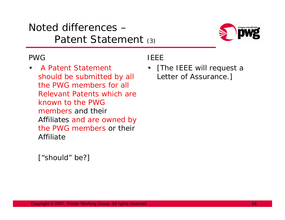## Noted differences –Patent Statement (3)



### PWG

 $\bullet$  A Patent Statement should be submitted by all the PWG members for all Relevant Patents which are known to the PWG members and their Affiliates and are owned by the PWG members or their Affiliate

IEEE

• [The IEEE will request a Letter of Assurance.]

*["should" be?]*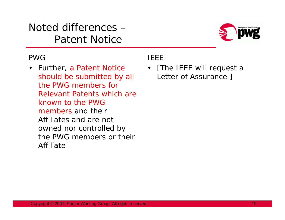Noted differences –Patent Notice



### PWG

• Further, a Patent Notice should be submitted by all the PWG members for Relevant Patents which are known to the PWG members and their Affiliates and are not owned nor controlled by the PWG members or their Affiliate

IEEE

• [The IEEE will request a Letter of Assurance.]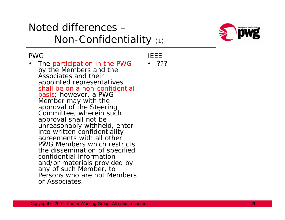## Noted differences –Non-Confidentiality (1)



#### PWG

• The participation in the PWG by the Members and the Associates and their appointed representatives shall be on a non-confidential basis; however, a PWG Member may with the approval of the Steering Committee, wherein such approval shall not be unreasonably withheld, enter into written confidentiality agreements with all other PWG Members which restricts the dissemination of specified confidential information and/or materials provided by any of such Member, to Persons who are not Members or Associates.

IEEE

• ???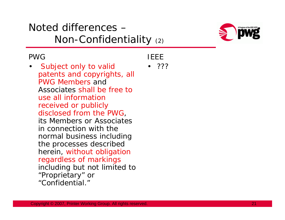## Noted differences –Non-Confidentiality (2)



### PWG

 $\bullet$  Subject only to valid patents and copyrights, all PWG Members and Associates shall be free to use all information received or publicly disclosed from the PWG, its Members or Associates in connection with the normal business including the processes described herein, without obligation regardless of markings including but not limited to "Proprietary" or "Confidential."

IEEE

• ???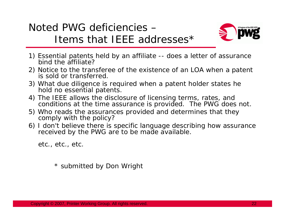



- 1) Essential patents held by an affiliate -- does a letter of assurance bind the affiliate?
- 2) Notice to the transferee of the existence of an LOA when a patent is sold or transferred.
- 3) What due diligence is required when a patent holder states he hold no essential patents.
- 4) The IEEE allows the disclosure of licensing terms, rates, and conditions at the time assurance is provided. The PWG does not.
- 5) Who reads the assurances provided and determines that they comply with the policy?
- 6) I don't believe there is specific language describing how assurance received by the PWG are to be made available.

etc., etc., etc.

\* submitted by Don Wright